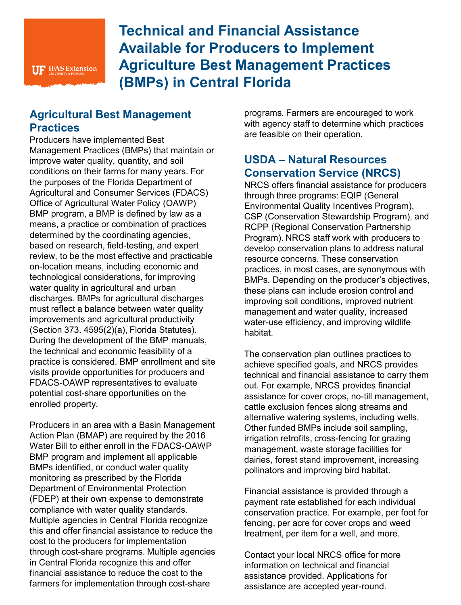# **Technical and Financial Assistance Available for Producers to Implement Agriculture Best Management Practices (BMPs) in Central Florida**

#### **Agricultural Best Management Practices**

Producers have implemented Best Management Practices (BMPs) that maintain or improve water quality, quantity, and soil conditions on their farms for many years. For the purposes of the Florida Department of Agricultural and Consumer Services (FDACS) Office of Agricultural Water Policy (OAWP) BMP program, a BMP is defined by law as a means, a practice or combination of practices determined by the coordinating agencies, based on research, field-testing, and expert review, to be the most effective and practicable on-location means, including economic and technological considerations, for improving water quality in agricultural and urban discharges. BMPs for agricultural discharges must reflect a balance between water quality improvements and agricultural productivity (Section 373. 4595(2)(a), Florida Statutes). During the development of the BMP manuals, the technical and economic feasibility of a practice is considered. BMP enrollment and site visits provide opportunities for producers and FDACS-OAWP representatives to evaluate potential cost-share opportunities on the enrolled property.

Producers in an area with a Basin Management Action Plan (BMAP) are required by the 2016 Water Bill to either enroll in the FDACS-OAWP BMP program and implement all applicable BMPs identified, or conduct water quality monitoring as prescribed by the Florida Department of Environmental Protection (FDEP) at their own expense to demonstrate compliance with water quality standards. Multiple agencies in Central Florida recognize this and offer financial assistance to reduce the cost to the producers for implementation through cost-share programs. Multiple agencies in Central Florida recognize this and offer financial assistance to reduce the cost to the farmers for implementation through cost-share

programs. Farmers are encouraged to work with agency staff to determine which practices are feasible on their operation.

#### **USDA – Natural Resources Conservation Service (NRCS)**

NRCS offers financial assistance for producers through three programs: EQIP (General Environmental Quality Incentives Program), CSP (Conservation Stewardship Program), and RCPP (Regional Conservation Partnership Program). NRCS staff work with producers to develop conservation plans to address natural resource concerns. These conservation practices, in most cases, are synonymous with BMPs. Depending on the producer's objectives, these plans can include erosion control and improving soil conditions, improved nutrient management and water quality, increased water-use efficiency, and improving wildlife habitat.

The conservation plan outlines practices to achieve specified goals, and NRCS provides technical and financial assistance to carry them out. For example, NRCS provides financial assistance for cover crops, no-till management, cattle exclusion fences along streams and alternative watering systems, including wells. Other funded BMPs include soil sampling, irrigation retrofits, cross-fencing for grazing management, waste storage facilities for dairies, forest stand improvement, increasing pollinators and improving bird habitat.

Financial assistance is provided through a payment rate established for each individual conservation practice. For example, per foot for fencing, per acre for cover crops and weed treatment, per item for a well, and more.

Contact your local NRCS office for more information on technical and financial assistance provided. Applications for assistance are accepted year-round.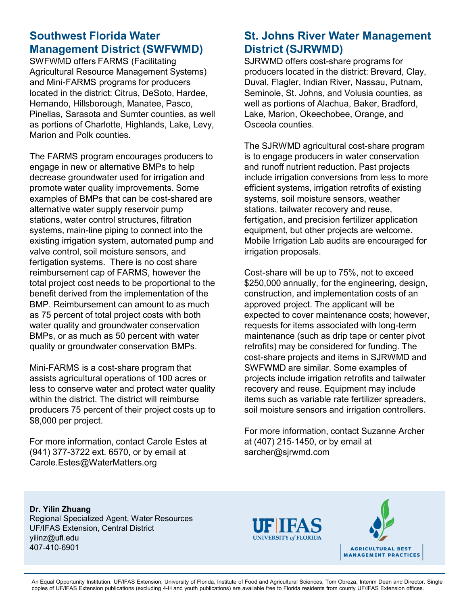## **Southwest Florida Water Management District (SWFWMD)**

SWFWMD offers FARMS (Facilitating Agricultural Resource Management Systems) and Mini-FARMS programs for producers located in the district: Citrus, DeSoto, Hardee, Hernando, Hillsborough, Manatee, Pasco, Pinellas, Sarasota and Sumter counties, as well as portions of Charlotte, Highlands, Lake, Levy, Marion and Polk counties.

The FARMS program encourages producers to engage in new or alternative BMPs to help decrease groundwater used for irrigation and promote water quality improvements. Some examples of BMPs that can be cost-shared are alternative water supply reservoir pump stations, water control structures, filtration systems, main-line piping to connect into the existing irrigation system, automated pump and valve control, soil moisture sensors, and fertigation systems. There is no cost share reimbursement cap of FARMS, however the total project cost needs to be proportional to the benefit derived from the implementation of the BMP. Reimbursement can amount to as much as 75 percent of total project costs with both water quality and groundwater conservation BMPs, or as much as 50 percent with water quality or groundwater conservation BMPs.

Mini-FARMS is a cost-share program that assists agricultural operations of 100 acres or less to conserve water and protect water quality within the district. The district will reimburse producers 75 percent of their project costs up to \$8,000 per project.

For more information, contact Carole Estes at (941) 377-3722 ext. 6570, or by email at Carole.Estes@WaterMatters.org

## **St. Johns River Water Management District (SJRWMD)**

SJRWMD offers cost-share programs for producers located in the district: Brevard, Clay, Duval, Flagler, Indian River, Nassau, Putnam, Seminole, St. Johns, and Volusia counties, as well as portions of Alachua, Baker, Bradford, Lake, Marion, Okeechobee, Orange, and Osceola counties.

The SJRWMD agricultural cost-share program is to engage producers in water conservation and runoff nutrient reduction. Past projects include irrigation conversions from less to more efficient systems, irrigation retrofits of existing systems, soil moisture sensors, weather stations, tailwater recovery and reuse, fertigation, and precision fertilizer application equipment, but other projects are welcome. Mobile Irrigation Lab audits are encouraged for irrigation proposals.

Cost-share will be up to 75%, not to exceed \$250,000 annually, for the engineering, design, construction, and implementation costs of an approved project. The applicant will be expected to cover maintenance costs; however, requests for items associated with long-term maintenance (such as drip tape or center pivot retrofits) may be considered for funding. The cost-share projects and items in SJRWMD and SWFWMD are similar. Some examples of projects include irrigation retrofits and tailwater recovery and reuse. Equipment may include items such as variable rate fertilizer spreaders, soil moisture sensors and irrigation controllers.

For more information, contact Suzanne Archer at (407) 215-1450, or by email at sarcher@sjrwmd.com

**Dr. Yilin Zhuang** Regional Specialized Agent, Water Resources UF/IFAS Extension, Central District yilinz@ufl.edu

407-410-6901





An Equal Opportunity Institution. UF/IFAS Extension, University of Florida, Institute of Food and Agricultural Sciences, Tom Obreza, Interim Dean and Director. Single copies of UF/IFAS Extension publications (excluding 4-H and youth publications) are available free to Florida residents from county UF/IFAS Extension offices.